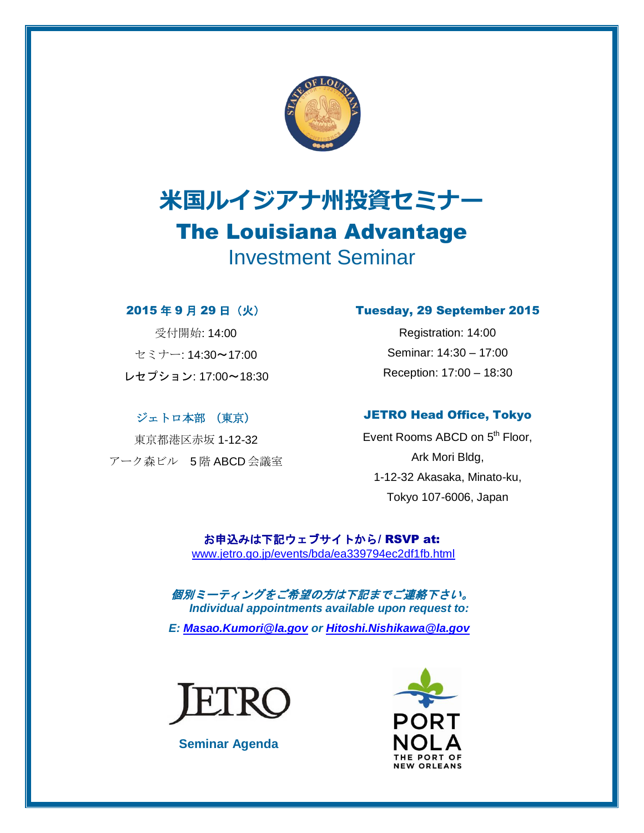

# 米国ルイジアナ州投資セミナー The Louisiana Advantage Investment Seminar

### 2015 年 9 月 29 日(火)

受付開始: 14:00 セミナー: 14:30~17:00 レセプション: 17:00~18:30

## ジェトロ本部 (東京)

東京都港区赤坂 1-12-32 アーク森ビル 5 階 ABCD 会議室

### Tuesday, 29 September 2015

Registration: 14:00 Seminar: 14:30 – 17:00 Reception: 17:00 – 18:30

## JETRO Head Office, Tokyo

Event Rooms ABCD on 5<sup>th</sup> Floor, Ark Mori Bldg, 1-12-32 Akasaka, Minato-ku, Tokyo 107-6006, Japan

お申込みは下記ウェブサイトから/ RSVP at: [www.jetro.go.jp/events/bda/ea339794ec2df1fb.html](http://www.jetro.go.jp/events/bda/ea339794ec2df1fb.html)

個別ミーティングをご希望の方は下記までご連絡下さい。 *Individual appointments available upon request to: E: [Masao.Kumori@la.gov](mailto:Masao.Kumori@la.gov) or [Hitoshi.Nishikawa@la.gov](mailto:Hitoshi.Nishikawa@la.gov)*



**Seminar Agenda**